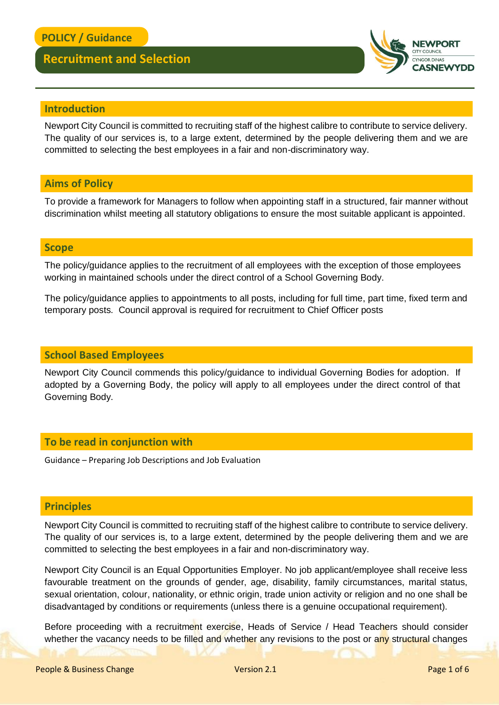

#### **Introduction**

Newport City Council is committed to recruiting staff of the highest calibre to contribute to service delivery. The quality of our services is, to a large extent, determined by the people delivering them and we are committed to selecting the best employees in a fair and non-discriminatory way.

### **Aims of Policy**

To provide a framework for Managers to follow when appointing staff in a structured, fair manner without discrimination whilst meeting all statutory obligations to ensure the most suitable applicant is appointed.

#### **Scope**

The policy/guidance applies to the recruitment of all employees with the exception of those employees working in maintained schools under the direct control of a School Governing Body.

The policy/guidance applies to appointments to all posts, including for full time, part time, fixed term and temporary posts. Council approval is required for recruitment to Chief Officer posts

#### **School Based Employees**

Newport City Council commends this policy/guidance to individual Governing Bodies for adoption. If adopted by a Governing Body, the policy will apply to all employees under the direct control of that Governing Body.

#### **To be read in conjunction with**

Guidance – Preparing Job Descriptions and Job Evaluation

#### **Principles**

Newport City Council is committed to recruiting staff of the highest calibre to contribute to service delivery. The quality of our services is, to a large extent, determined by the people delivering them and we are committed to selecting the best employees in a fair and non-discriminatory way.

Newport City Council is an Equal Opportunities Employer. No job applicant/employee shall receive less favourable treatment on the grounds of gender, age, disability, family circumstances, marital status, sexual orientation, colour, nationality, or ethnic origin, trade union activity or religion and no one shall be disadvantaged by conditions or requirements (unless there is a genuine occupational requirement).

Before proceeding with a recruitment exercise, Heads of Service / Head Teachers should consider whether the vacancy needs to be filled and whether any revisions to the post or any structural changes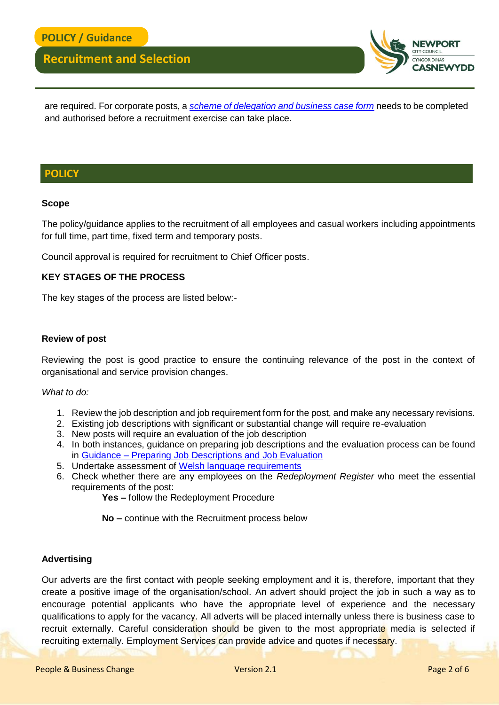

are required. For corporate posts, a *[scheme of delegation and business case form](http://www.newport.gov.uk/documents/Forms/HR-Business-Case-and-Scheme-of-Delegation.docx)* needs to be completed and authorised before a recruitment exercise can take place.

#### **POLICY**

#### **Scope**

The policy/guidance applies to the recruitment of all employees and casual workers including appointments for full time, part time, fixed term and temporary posts.

Council approval is required for recruitment to Chief Officer posts.

#### **KEY STAGES OF THE PROCESS**

The key stages of the process are listed below:-

#### **Review of post**

Reviewing the post is good practice to ensure the continuing relevance of the post in the context of organisational and service provision changes.

#### *What to do:*

- 1. Review the job description and job requirement form for the post, and make any necessary revisions.
- 2. Existing job descriptions with significant or substantial change will require re-evaluation
- 3. New posts will require an evaluation of the job description
- 4. In both instances, guidance on preparing job descriptions and the evaluation process can be found in Guidance – [Preparing Job Descriptions and Job Evaluation](http://www.newport.gov.uk/documents/Policies/HR-Guidance-Preparing-Job-Descriptions-Job-Evaluation-10-07-2017.pdf)
- 5. Undertake assessment of [Welsh language requirements](http://www.newport.gov.uk/documents/Forms/HR-Assessing-Welsh-Language-Requirements-Form.docx)
- 6. Check whether there are any employees on the *Redeployment Register* who meet the essential requirements of the post:

**Yes –** follow the Redeployment Procedure

**No –** continue with the Recruitment process below

#### **Advertising**

Our adverts are the first contact with people seeking employment and it is, therefore, important that they create a positive image of the organisation/school. An advert should project the job in such a way as to encourage potential applicants who have the appropriate level of experience and the necessary qualifications to apply for the vacancy. All adverts will be placed internally unless there is business case to recruit externally. Careful consideration should be given to the most appropriate media is selected if recruiting externally. Employment Services can provide advice and quotes if necessary.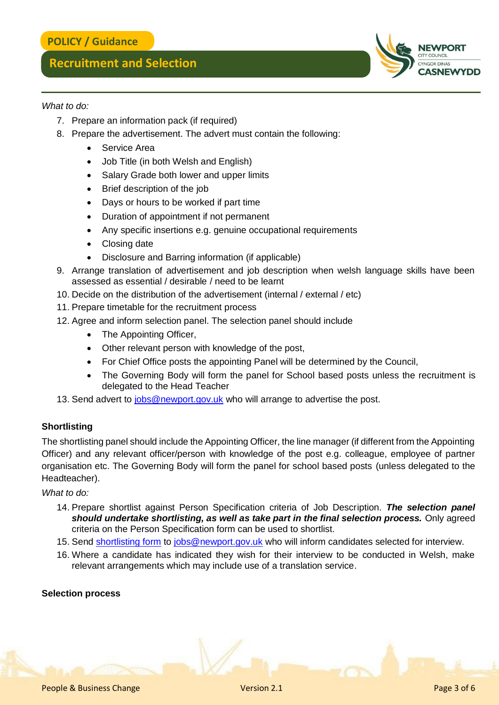#### *What to do:*

- 7. Prepare an information pack (if required)
- 8. Prepare the advertisement. The advert must contain the following:
	- Service Area
	- Job Title (in both Welsh and English)
	- Salary Grade both lower and upper limits
	- Brief description of the job
	- Days or hours to be worked if part time
	- Duration of appointment if not permanent
	- Any specific insertions e.g. genuine occupational requirements
	- Closing date
	- Disclosure and Barring information (if applicable)
- 9. Arrange translation of advertisement and job description when welsh language skills have been assessed as essential / desirable / need to be learnt
- 10. Decide on the distribution of the advertisement (internal / external / etc)
- 11. Prepare timetable for the recruitment process
- 12. Agree and inform selection panel. The selection panel should include
	- The Appointing Officer,
	- Other relevant person with knowledge of the post,
	- For Chief Office posts the appointing Panel will be determined by the Council,
	- The Governing Body will form the panel for School based posts unless the recruitment is delegated to the Head Teacher
- 13. Send advert to [jobs@newport.gov.uk](mailto:jobs@newport.gov.uk) who will arrange to advertise the post.

#### **Shortlisting**

The shortlisting panel should include the Appointing Officer, the line manager (if different from the Appointing Officer) and any relevant officer/person with knowledge of the post e.g. colleague, employee of partner organisation etc. The Governing Body will form the panel for school based posts (unless delegated to the Headteacher).

#### *What to do:*

- 14. Prepare shortlist against Person Specification criteria of Job Description. *The selection panel should undertake shortlisting, as well as take part in the final selection process.* Only agreed criteria on the Person Specification form can be used to shortlist.
- 15. Send [shortlisting form](http://www.newport.gov.uk/documents/Forms/HR-Shortlisting-Form.docx) to [jobs@newport.gov.uk](mailto:jobs@newport.gov.uk) who will inform candidates selected for interview.
- 16. Where a candidate has indicated they wish for their interview to be conducted in Welsh, make relevant arrangements which may include use of a translation service.

#### **Selection process**

DINAS **CASNEWYDD**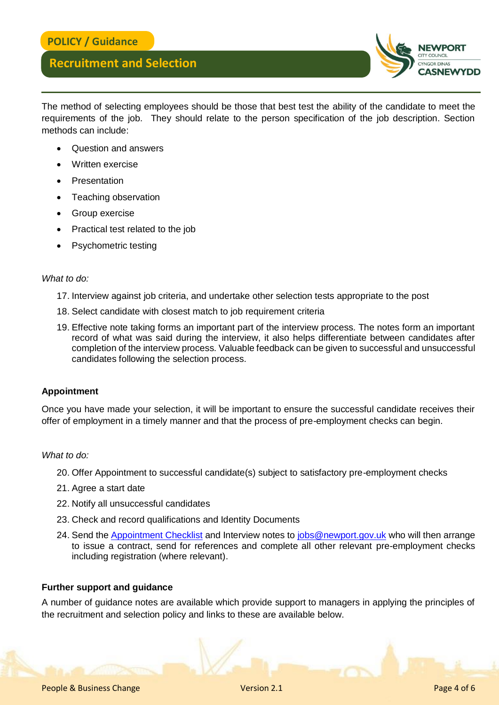

The method of selecting employees should be those that best test the ability of the candidate to meet the requirements of the job. They should relate to the person specification of the job description. Section methods can include:

- Question and answers
- Written exercise
- **Presentation**
- Teaching observation
- Group exercise
- Practical test related to the job
- Psychometric testing

#### *What to do:*

- 17. Interview against job criteria, and undertake other selection tests appropriate to the post
- 18. Select candidate with closest match to job requirement criteria
- 19. Effective note taking forms an important part of the interview process. The notes form an important record of what was said during the interview, it also helps differentiate between candidates after completion of the interview process. Valuable feedback can be given to successful and unsuccessful candidates following the selection process.

#### **Appointment**

Once you have made your selection, it will be important to ensure the successful candidate receives their offer of employment in a timely manner and that the process of pre-employment checks can begin.

#### *What to do:*

- 20. Offer Appointment to successful candidate(s) subject to satisfactory pre-employment checks
- 21. Agree a start date
- 22. Notify all unsuccessful candidates
- 23. Check and record qualifications and Identity Documents
- 24. Send the [Appointment Checklist](http://www.newport.gov.uk/documents/Forms/HR-Appointment-Checklist.docx) and Interview notes to [jobs@newport.gov.uk](mailto:jobs@newport.gov.uk) who will then arrange to issue a contract, send for references and complete all other relevant pre-employment checks including registration (where relevant).

#### **Further support and guidance**

A number of guidance notes are available which provide support to managers in applying the principles of the recruitment and selection policy and links to these are available below.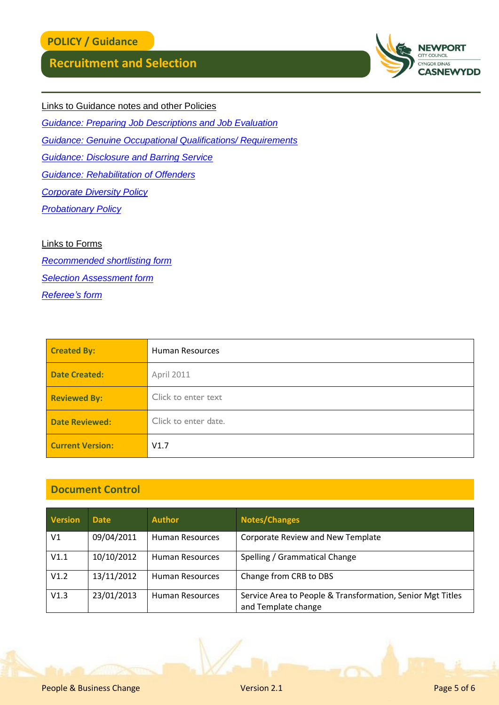

Links to Guidance notes and other Policies

*[Guidance: Preparing Job Descriptions and Job Evaluation](http://www.newport.gov.uk/documents/Policies/HR-Guidance-Preparing-Job-Descriptions-Job-Evaluation-10-07-2017.pdf)*

*[Guidance: Genuine Occupational Qualifications/ Requirements](http://www.newport.gov.uk/documents/Policies/HR-Genuine-Occupational-Qualifications-or-Requirements-Guidance.pdf)*

*[Guidance: Disclosure and Barring Service](http://www.newport.gov.uk/documents/Policies/HR-DBS-Disclosure-Checks-Policy-and-Guidance.pdf)*

*[Guidance: Rehabilitation of Offenders](http://www.newport.gov.uk/documents/Policies/HR-Rehabilitation-of-Offenders-Guidance.pdf)*

*[Corporate Diversity Policy](http://www.newport.gov.uk/documents/Policies/HR-Corporate-Diversity-Policy-and-Action-Plan.pdf)*

*[Probationary Policy](http://www.newport.gov.uk/documents/Policies/HR-Probationary-Period-Policy.pdf)*

#### Links to Forms

*[Recommended shortlisting form](http://www.newport.gov.uk/documents/Forms/HR-Shortlisting-Form.docx) [Selection Assessment form](http://www.newport.gov.uk/documents/Forms/HR-Selection-Assessment-Form.docx) [Referee's form](http://www.newport.gov.uk/documents/Forms/HR-Reference-Request-Form-Up-to-SCP-32.docx)*

| <b>Created By:</b>      | <b>Human Resources</b> |  |
|-------------------------|------------------------|--|
| <b>Date Created:</b>    | April 2011             |  |
| <b>Reviewed By:</b>     | Click to enter text    |  |
| <b>Date Reviewed:</b>   | Click to enter date.   |  |
| <b>Current Version:</b> | V1.7                   |  |

### **Document Control**

| <b>Version</b> | <b>Date</b> | <b>Author</b>          | <b>Notes/Changes</b>                                                              |
|----------------|-------------|------------------------|-----------------------------------------------------------------------------------|
| V <sub>1</sub> | 09/04/2011  | <b>Human Resources</b> | <b>Corporate Review and New Template</b>                                          |
| V1.1           | 10/10/2012  | <b>Human Resources</b> | Spelling / Grammatical Change                                                     |
| V1.2           | 13/11/2012  | <b>Human Resources</b> | Change from CRB to DBS                                                            |
| V1.3           | 23/01/2013  | <b>Human Resources</b> | Service Area to People & Transformation, Senior Mgt Titles<br>and Template change |

People & Business Change Version 2.1 People & Business Change 5 of 6